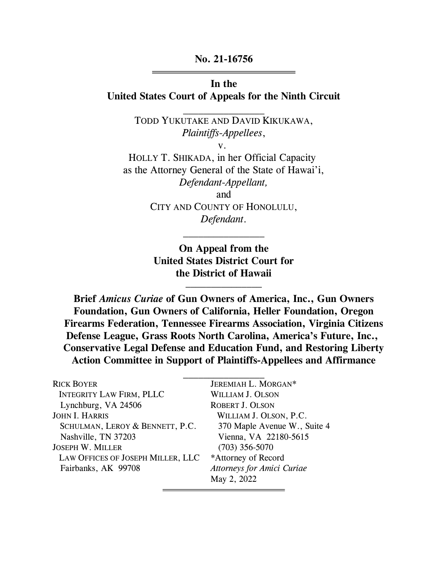### No. 21-16756

### In the United States Court of Appeals for the Ninth Circuit

TODD YUKUTAKE AND DAVID KIKUKAWA, Plaintiffs-Appellees,

v.

HOLLY T. SHIKADA, in her Official Capacity as the Attorney General of the State of Hawai'i, Defendant-Appellant, and CITY AND COUNTY OF HONOLULU,

Defendant.

On Appeal from the United States District Court for the District of Hawaii  $\mathcal{L}_\text{max}$ 

Brief Amicus Curiae of Gun Owners of America, Inc., Gun Owners Foundation, Gun Owners of California, Heller Foundation, Oregon Firearms Federation, Tennessee Firearms Association, Virginia Citizens Defense League, Grass Roots North Carolina, America's Future, Inc., Conservative Legal Defense and Education Fund, and Restoring Liberty Action Committee in Support of Plaintiffs-Appellees and Affirmance

| <b>RICK BOYER</b>                 | JEREMIAH L. MORGAN*               |
|-----------------------------------|-----------------------------------|
| <b>INTEGRITY LAW FIRM, PLLC</b>   | <b>WILLIAM J. OLSON</b>           |
| Lynchburg, VA 24506               | <b>ROBERT J. OLSON</b>            |
| <b>JOHN I. HARRIS</b>             | WILLIAM J. OLSON, P.C.            |
| SCHULMAN, LEROY & BENNETT, P.C.   | 370 Maple Avenue W., Suite 4      |
| Nashville, TN 37203               | Vienna, VA 22180-5615             |
| <b>JOSEPH W. MILLER</b>           | $(703)$ 356-5070                  |
| LAW OFFICES OF JOSEPH MILLER, LLC | *Attorney of Record               |
| Fairbanks, AK 99708               | <b>Attorneys for Amici Curiae</b> |
|                                   | May 2, 2022                       |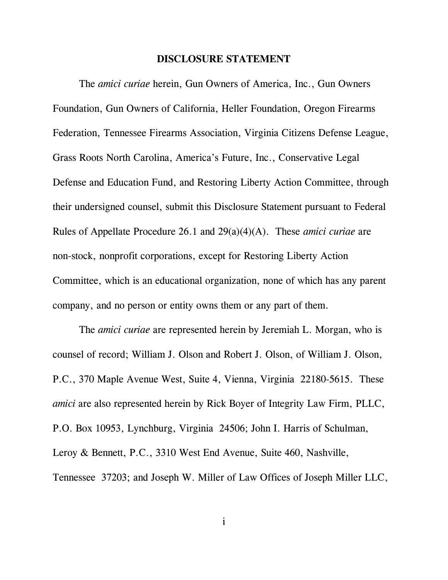#### DISCLOSURE STATEMENT

The amici curiae herein, Gun Owners of America, Inc., Gun Owners Foundation, Gun Owners of California, Heller Foundation, Oregon Firearms Federation, Tennessee Firearms Association, Virginia Citizens Defense League, Grass Roots North Carolina, America's Future, Inc., Conservative Legal Defense and Education Fund, and Restoring Liberty Action Committee, through their undersigned counsel, submit this Disclosure Statement pursuant to Federal Rules of Appellate Procedure 26.1 and 29(a)(4)(A). These amici curiae are non-stock, nonprofit corporations, except for Restoring Liberty Action Committee, which is an educational organization, none of which has any parent company, and no person or entity owns them or any part of them.

The *amici curiae* are represented herein by Jeremiah L. Morgan, who is counsel of record; William J. Olson and Robert J. Olson, of William J. Olson, P.C., 370 Maple Avenue West, Suite 4, Vienna, Virginia 22180-5615. These amici are also represented herein by Rick Boyer of Integrity Law Firm, PLLC, P.O. Box 10953, Lynchburg, Virginia 24506; John I. Harris of Schulman, Leroy & Bennett, P.C., 3310 West End Avenue, Suite 460, Nashville, Tennessee 37203; and Joseph W. Miller of Law Offices of Joseph Miller LLC,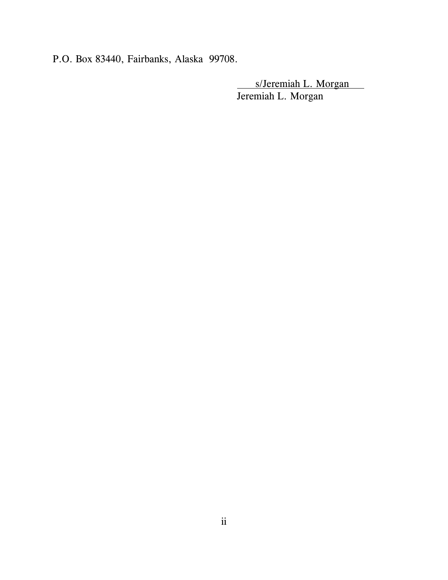P.O. Box 83440, Fairbanks, Alaska 99708.

s/Jeremiah L. Morgan Jeremiah L. Morgan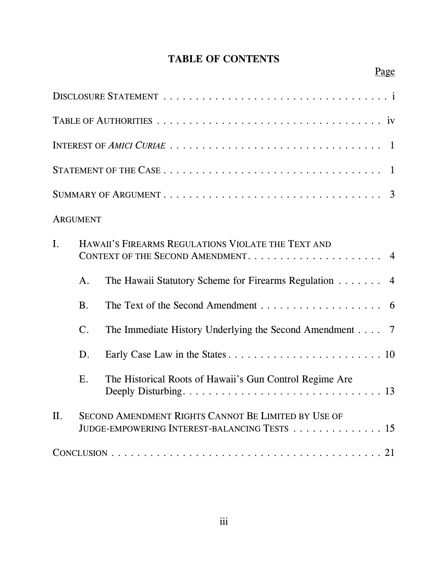# TABLE OF CONTENTS

|                                                                                               |                                                                      | -1                                                                                                         |  |
|-----------------------------------------------------------------------------------------------|----------------------------------------------------------------------|------------------------------------------------------------------------------------------------------------|--|
| SUMMARY OF ARGUMENT $\dots \dots \dots \dots \dots \dots \dots \dots \dots \dots \dots \dots$ |                                                                      |                                                                                                            |  |
|                                                                                               | <b>ARGUMENT</b>                                                      |                                                                                                            |  |
| $\mathbf{I}$ .                                                                                | HAWAII'S FIREARMS REGULATIONS VIOLATE THE TEXT AND<br>$\overline{4}$ |                                                                                                            |  |
|                                                                                               | A <sub>1</sub>                                                       | The Hawaii Statutory Scheme for Firearms Regulation<br>$\overline{4}$                                      |  |
|                                                                                               | B.                                                                   |                                                                                                            |  |
|                                                                                               | $\mathcal{C}$ .                                                      | The Immediate History Underlying the Second Amendment $\ldots$ 7                                           |  |
|                                                                                               | D.                                                                   |                                                                                                            |  |
|                                                                                               | E.                                                                   | The Historical Roots of Hawaii's Gun Control Regime Are                                                    |  |
| II.                                                                                           |                                                                      | SECOND AMENDMENT RIGHTS CANNOT BE LIMITED BY USE OF<br>JUDGE-EMPOWERING INTEREST-BALANCING TESTS 15        |  |
|                                                                                               |                                                                      | $CONCLUSION \ldots \ldots \ldots \ldots \ldots \ldots \ldots \ldots \ldots \ldots \ldots \ldots \ldots 21$ |  |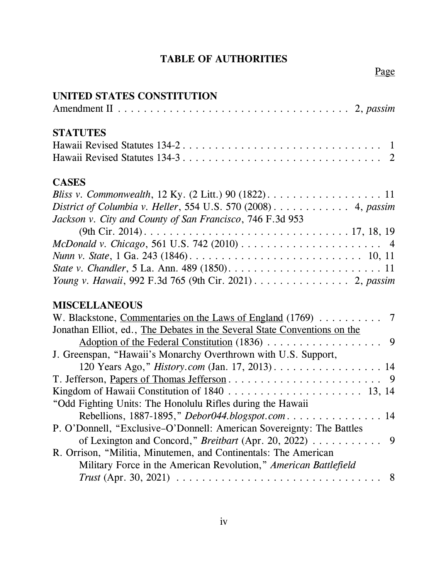# TABLE OF AUTHORITIES

# UNITED STATES CONSTITUTION

| <b>STATUTES</b>                                                                                                                       |
|---------------------------------------------------------------------------------------------------------------------------------------|
|                                                                                                                                       |
|                                                                                                                                       |
| <b>CASES</b>                                                                                                                          |
| <i>Bliss v. Commonwealth</i> , 12 Ky. $(2 \text{ Litt.}) 90 (1822) \ldots \ldots \ldots \ldots \ldots \ldots \ldots 11$               |
| District of Columbia v. Heller, 554 U.S. 570 (2008) $\dots \dots \dots$ 4, passim                                                     |
| Jackson v. City and County of San Francisco, 746 F.3d 953                                                                             |
|                                                                                                                                       |
| McDonald v. Chicago, 561 U.S. 742 (2010) $\dots \dots \dots \dots \dots \dots \dots \dots$                                            |
| <i>Nunn v. State</i> , 1 Ga. 243 (1846). $\ldots \ldots \ldots \ldots \ldots \ldots \ldots \ldots \ldots \ldots \ldots \ldots 10, 11$ |
|                                                                                                                                       |
| Young v. Hawaii, 992 F.3d 765 (9th Cir. 2021) 2, passim                                                                               |

# MISCELLANEOUS

| Jonathan Elliot, ed., The Debates in the Several State Conventions on the |
|---------------------------------------------------------------------------|
|                                                                           |
| J. Greenspan, "Hawaii's Monarchy Overthrown with U.S. Support,            |
| 120 Years Ago," <i>History.com</i> (Jan. 17, 2013). 14                    |
|                                                                           |
|                                                                           |
| "Odd Fighting Units: The Honolulu Rifles during the Hawaii                |
| Rebellions, 1887-1895," Debor044.blogspot.com 14                          |
| P. O'Donnell, "Exclusive–O'Donnell: American Sovereignty: The Battles     |
|                                                                           |
| R. Orrison, "Militia, Minutemen, and Continentals: The American           |
| Military Force in the American Revolution," American Battlefield          |
|                                                                           |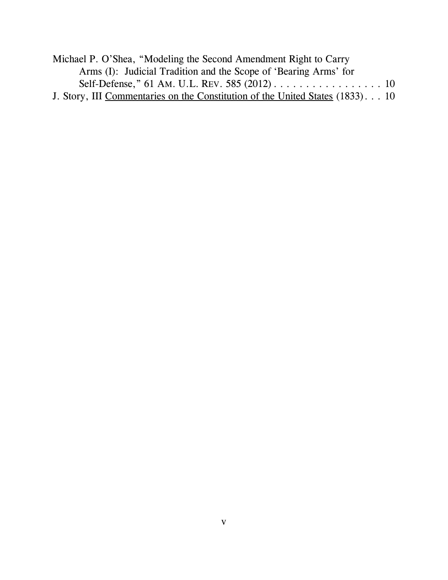| Michael P. O'Shea, "Modeling the Second Amendment Right to Carry              |  |
|-------------------------------------------------------------------------------|--|
| Arms (I): Judicial Tradition and the Scope of 'Bearing Arms' for              |  |
|                                                                               |  |
| J. Story, III Commentaries on the Constitution of the United States (1833) 10 |  |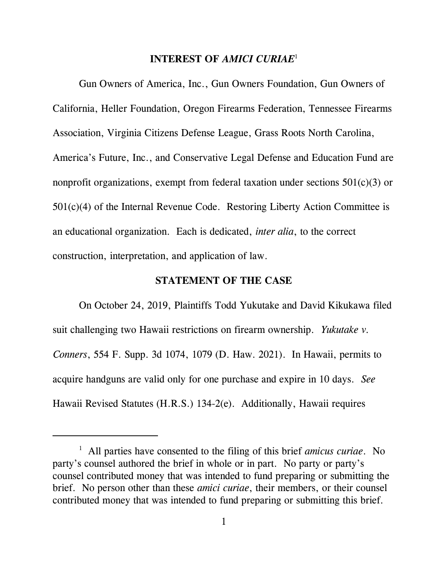### INTEREST OF AMICI CURIAE<sup>1</sup>

Gun Owners of America, Inc., Gun Owners Foundation, Gun Owners of California, Heller Foundation, Oregon Firearms Federation, Tennessee Firearms Association, Virginia Citizens Defense League, Grass Roots North Carolina, America's Future, Inc., and Conservative Legal Defense and Education Fund are nonprofit organizations, exempt from federal taxation under sections 501(c)(3) or 501(c)(4) of the Internal Revenue Code. Restoring Liberty Action Committee is an educational organization. Each is dedicated, inter alia, to the correct construction, interpretation, and application of law.

#### STATEMENT OF THE CASE

On October 24, 2019, Plaintiffs Todd Yukutake and David Kikukawa filed suit challenging two Hawaii restrictions on firearm ownership. Yukutake v. Conners, 554 F. Supp. 3d 1074, 1079 (D. Haw. 2021). In Hawaii, permits to acquire handguns are valid only for one purchase and expire in 10 days. See Hawaii Revised Statutes (H.R.S.) 134-2(e). Additionally, Hawaii requires

<sup>&</sup>lt;sup>1</sup> All parties have consented to the filing of this brief *amicus curiae*. No party's counsel authored the brief in whole or in part. No party or party's counsel contributed money that was intended to fund preparing or submitting the brief. No person other than these amici curiae, their members, or their counsel contributed money that was intended to fund preparing or submitting this brief.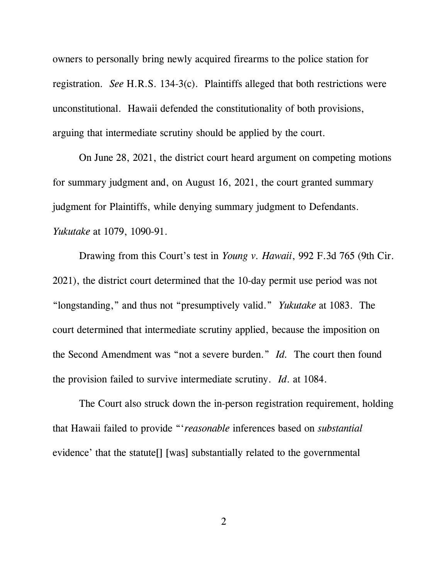owners to personally bring newly acquired firearms to the police station for registration. See H.R.S. 134-3(c). Plaintiffs alleged that both restrictions were unconstitutional. Hawaii defended the constitutionality of both provisions, arguing that intermediate scrutiny should be applied by the court.

On June 28, 2021, the district court heard argument on competing motions for summary judgment and, on August 16, 2021, the court granted summary judgment for Plaintiffs, while denying summary judgment to Defendants. Yukutake at 1079, 1090-91.

Drawing from this Court's test in Young v. Hawaii, 992 F.3d 765 (9th Cir. 2021), the district court determined that the 10-day permit use period was not "longstanding," and thus not "presumptively valid." Yukutake at 1083. The court determined that intermediate scrutiny applied, because the imposition on the Second Amendment was "not a severe burden." Id. The court then found the provision failed to survive intermediate scrutiny. Id. at 1084.

The Court also struck down the in-person registration requirement, holding that Hawaii failed to provide "'reasonable inferences based on substantial evidence' that the statute[] [was] substantially related to the governmental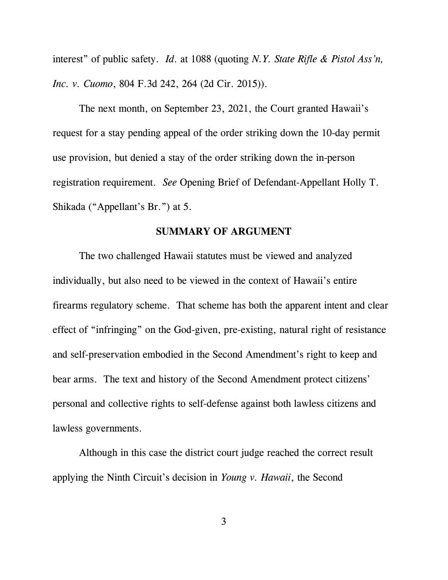interest" of public safety. *Id.* at 1088 (quoting N.Y. State Rifle & Pistol Ass'n, Inc. v. Cuomo, 804 F.3d 242, 264 (2d Cir. 2015)).

The next month, on September 23, 2021, the Court granted Hawaii's request for a stay pending appeal of the order striking down the 10-day permit use provision, but denied a stay of the order striking down the in-person registration requirement. See Opening Brief of Defendant-Appellant Holly T. Shikada ("Appellant's Br.") at 5.

### SUMMARY OF ARGUMENT

The two challenged Hawaii statutes must be viewed and analyzed individually, but also need to be viewed in the context of Hawaii's entire firearms regulatory scheme. That scheme has both the apparent intent and clear effect of "infringing" on the God-given, pre-existing, natural right of resistance and self-preservation embodied in the Second Amendment's right to keep and bear arms. The text and history of the Second Amendment protect citizens' personal and collective rights to self-defense against both lawless citizens and lawless governments.

Although in this case the district court judge reached the correct result applying the Ninth Circuit's decision in Young v. Hawaii, the Second

3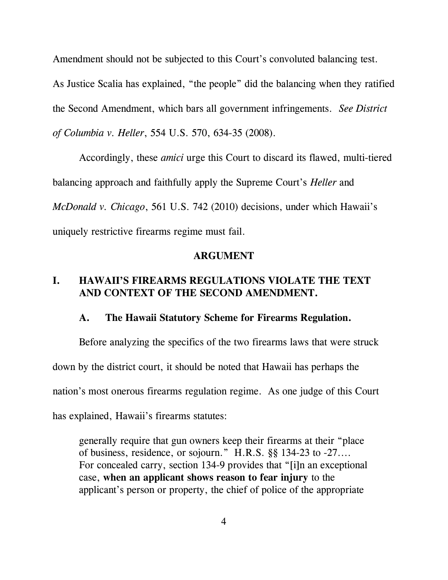Amendment should not be subjected to this Court's convoluted balancing test. As Justice Scalia has explained, "the people" did the balancing when they ratified the Second Amendment, which bars all government infringements. See District of Columbia v. Heller, 554 U.S. 570, 634-35 (2008).

Accordingly, these amici urge this Court to discard its flawed, multi-tiered balancing approach and faithfully apply the Supreme Court's Heller and McDonald v. Chicago, 561 U.S. 742 (2010) decisions, under which Hawaii's uniquely restrictive firearms regime must fail.

#### ARGUMENT

# I. HAWAII'S FIREARMS REGULATIONS VIOLATE THE TEXT AND CONTEXT OF THE SECOND AMENDMENT.

#### A. The Hawaii Statutory Scheme for Firearms Regulation.

Before analyzing the specifics of the two firearms laws that were struck down by the district court, it should be noted that Hawaii has perhaps the nation's most onerous firearms regulation regime. As one judge of this Court has explained, Hawaii's firearms statutes:

generally require that gun owners keep their firearms at their "place of business, residence, or sojourn." H.R.S. §§ 134-23 to -27.... For concealed carry, section 134-9 provides that "[i]n an exceptional case, when an applicant shows reason to fear injury to the applicant's person or property, the chief of police of the appropriate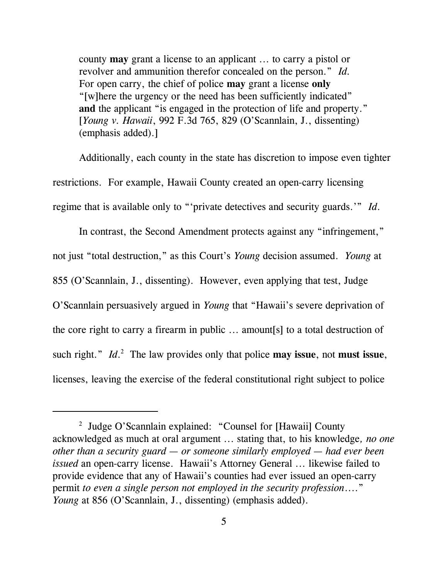county may grant a license to an applicant ... to carry a pistol or revolver and ammunition therefor concealed on the person." Id. For open carry, the chief of police **may** grant a license only "[w]here the urgency or the need has been sufficiently indicated" and the applicant "is engaged in the protection of life and property." [Young v. Hawaii, 992 F.3d 765, 829 (O'Scannlain, J., dissenting) (emphasis added).]

Additionally, each county in the state has discretion to impose even tighter restrictions. For example, Hawaii County created an open-carry licensing regime that is available only to "'private detectives and security guards.'" Id.

In contrast, the Second Amendment protects against any "infringement," not just "total destruction," as this Court's Young decision assumed. Young at 855 (O'Scannlain, J., dissenting). However, even applying that test, Judge O'Scannlain persuasively argued in Young that "Hawaii's severe deprivation of the core right to carry a firearm in public ... amount[s] to a total destruction of such right."  $Id<sup>2</sup>$  The law provides only that police may issue, not must issue, licenses, leaving the exercise of the federal constitutional right subject to police

<sup>&</sup>lt;sup>2</sup> Judge O'Scannlain explained: "Counsel for [Hawaii] County acknowledged as much at oral argument ... stating that, to his knowledge, no one other than a security guard  $-$  or someone similarly employed  $-$  had ever been issued an open-carry license. Hawaii's Attorney General ... likewise failed to provide evidence that any of Hawaii's counties had ever issued an open-carry permit to even a single person not employed in the security profession...." Young at 856 (O'Scannlain, J., dissenting) (emphasis added).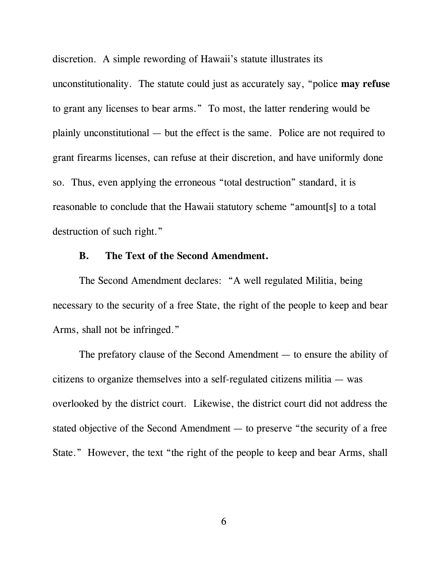discretion. A simple rewording of Hawaii's statute illustrates its unconstitutionality. The statute could just as accurately say, "police may refuse to grant any licenses to bear arms." To most, the latter rendering would be plainly unconstitutional — but the effect is the same. Police are not required to grant firearms licenses, can refuse at their discretion, and have uniformly done so. Thus, even applying the erroneous "total destruction" standard, it is reasonable to conclude that the Hawaii statutory scheme "amount[s] to a total destruction of such right."

#### B. The Text of the Second Amendment.

The Second Amendment declares: "A well regulated Militia, being necessary to the security of a free State, the right of the people to keep and bear Arms, shall not be infringed."

The prefatory clause of the Second Amendment — to ensure the ability of citizens to organize themselves into a self-regulated citizens militia — was overlooked by the district court. Likewise, the district court did not address the stated objective of the Second Amendment — to preserve "the security of a free State." However, the text "the right of the people to keep and bear Arms, shall

6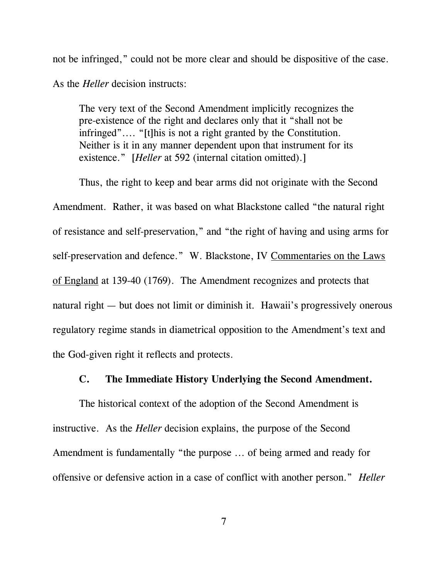not be infringed," could not be more clear and should be dispositive of the case.

As the *Heller* decision instructs:

The very text of the Second Amendment implicitly recognizes the pre-existence of the right and declares only that it "shall not be infringed".... "[t]his is not a right granted by the Constitution. Neither is it in any manner dependent upon that instrument for its existence." [*Heller* at 592 (internal citation omitted).]

Thus, the right to keep and bear arms did not originate with the Second Amendment. Rather, it was based on what Blackstone called "the natural right of resistance and self-preservation," and "the right of having and using arms for self-preservation and defence." W. Blackstone, IV Commentaries on the Laws of England at 139-40 (1769). The Amendment recognizes and protects that natural right — but does not limit or diminish it. Hawaii's progressively onerous regulatory regime stands in diametrical opposition to the Amendment's text and the God-given right it reflects and protects.

### C. The Immediate History Underlying the Second Amendment.

The historical context of the adoption of the Second Amendment is instructive. As the Heller decision explains, the purpose of the Second Amendment is fundamentally "the purpose ... of being armed and ready for offensive or defensive action in a case of conflict with another person." Heller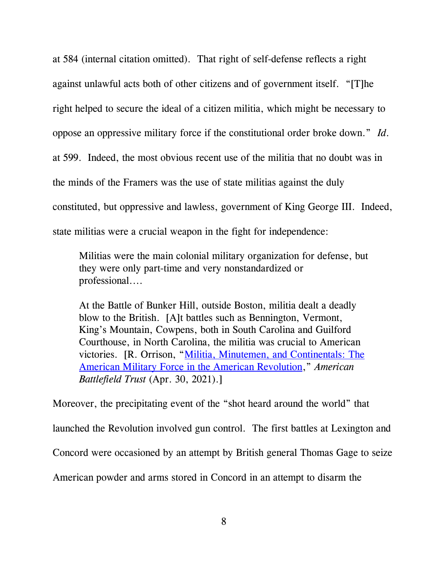at 584 (internal citation omitted). That right of self-defense reflects a right against unlawful acts both of other citizens and of government itself. "[T]he right helped to secure the ideal of a citizen militia, which might be necessary to oppose an oppressive military force if the constitutional order broke down." Id. at 599. Indeed, the most obvious recent use of the militia that no doubt was in the minds of the Framers was the use of state militias against the duly constituted, but oppressive and lawless, government of King George III. Indeed, state militias were a crucial weapon in the fight for independence:

Militias were the main colonial military organization for defense, but they were only part-time and very nonstandardized or professional....

At the Battle of Bunker Hill, outside Boston, militia dealt a deadly blow to the British. [A]t battles such as Bennington, Vermont, King's Mountain, Cowpens, both in South Carolina and Guilford Courthouse, in North Carolina, the militia was crucial to American victories. [R. Orrison, "Militia, Minutemen, and Continentals: The American Military Force in the American Revolution," American Battlefield Trust (Apr. 30, 2021).]

Moreover, the precipitating event of the "shot heard around the world" that launched the Revolution involved gun control. The first battles at Lexington and Concord were occasioned by an attempt by British general Thomas Gage to seize American powder and arms stored in Concord in an attempt to disarm the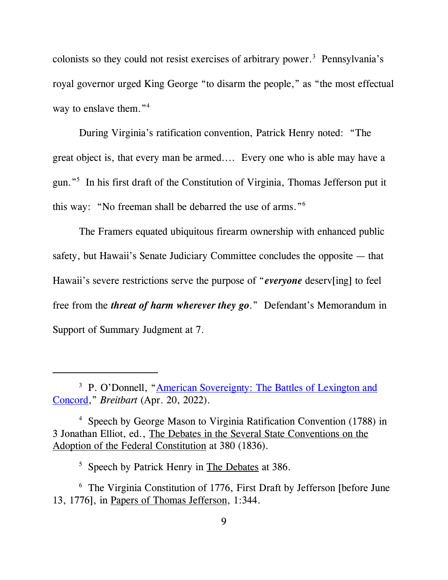colonists so they could not resist exercises of arbitrary power.<sup>3</sup> Pennsylvania's royal governor urged King George "to disarm the people," as "the most effectual way to enslave them."<sup>4</sup>

During Virginia's ratification convention, Patrick Henry noted: "The great object is, that every man be armed.... Every one who is able may have a gun."<sup>5</sup> In his first draft of the Constitution of Virginia, Thomas Jefferson put it this way: "No freeman shall be debarred the use of arms."<sup>6</sup>

The Framers equated ubiquitous firearm ownership with enhanced public safety, but Hawaii's Senate Judiciary Committee concludes the opposite — that Hawaii's severe restrictions serve the purpose of "*everyone* deserv[ing] to feel free from the threat of harm wherever they go." Defendant's Memorandum in Support of Summary Judgment at 7.

<sup>&</sup>lt;sup>3</sup> P. O'Donnell, "American Sovereignty: The Battles of Lexington and Concord," Breitbart (Apr. 20, 2022).

<sup>4</sup> Speech by George Mason to Virginia Ratification Convention (1788) in 3 Jonathan Elliot, ed., The Debates in the Several State Conventions on the Adoption of the Federal Constitution at 380 (1836).

<sup>&</sup>lt;sup>5</sup> Speech by Patrick Henry in The Debates at 386.

<sup>&</sup>lt;sup>6</sup> The Virginia Constitution of 1776, First Draft by Jefferson [before June 13, 1776], in Papers of Thomas Jefferson, 1:344.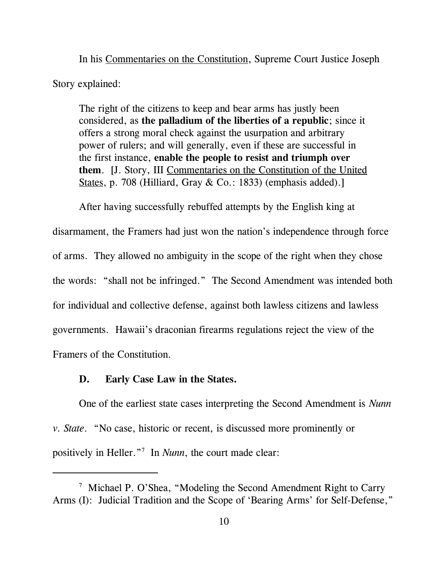In his Commentaries on the Constitution, Supreme Court Justice Joseph Story explained:

The right of the citizens to keep and bear arms has justly been considered, as the palladium of the liberties of a republic; since it offers a strong moral check against the usurpation and arbitrary power of rulers; and will generally, even if these are successful in the first instance, enable the people to resist and triumph over them. [J. Story, III Commentaries on the Constitution of the United States, p. 708 (Hilliard, Gray & Co.: 1833) (emphasis added).]

After having successfully rebuffed attempts by the English king at disarmament, the Framers had just won the nation's independence through force of arms. They allowed no ambiguity in the scope of the right when they chose the words: "shall not be infringed." The Second Amendment was intended both for individual and collective defense, against both lawless citizens and lawless governments. Hawaii's draconian firearms regulations reject the view of the Framers of the Constitution.

### D. Early Case Law in the States.

One of the earliest state cases interpreting the Second Amendment is Nunn v. State. "No case, historic or recent, is discussed more prominently or positively in Heller."<sup>7</sup> In *Nunn*, the court made clear:

<sup>&</sup>lt;sup>7</sup> Michael P. O'Shea, "Modeling the Second Amendment Right to Carry Arms (I): Judicial Tradition and the Scope of 'Bearing Arms' for Self-Defense,"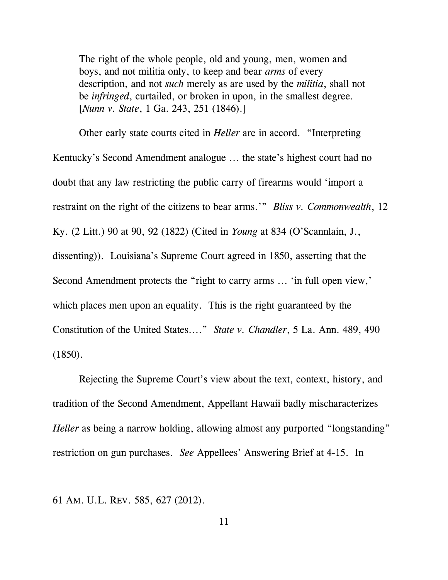The right of the whole people, old and young, men, women and boys, and not militia only, to keep and bear arms of every description, and not *such* merely as are used by the *militia*, shall not be *infringed*, curtailed, or broken in upon, in the smallest degree. [Nunn v. State, 1 Ga. 243, 251 (1846).]

Other early state courts cited in Heller are in accord. "Interpreting Kentucky's Second Amendment analogue ... the state's highest court had no doubt that any law restricting the public carry of firearms would 'import a restraint on the right of the citizens to bear arms.'" Bliss v. Commonwealth, 12 Ky. (2 Litt.) 90 at 90, 92 (1822) (Cited in Young at 834 (O'Scannlain, J., dissenting)). Louisiana's Supreme Court agreed in 1850, asserting that the Second Amendment protects the "right to carry arms ... 'in full open view,' which places men upon an equality. This is the right guaranteed by the Constitution of the United States...." State v. Chandler, 5 La. Ann. 489, 490 (1850).

Rejecting the Supreme Court's view about the text, context, history, and tradition of the Second Amendment, Appellant Hawaii badly mischaracterizes Heller as being a narrow holding, allowing almost any purported "longstanding" restriction on gun purchases. See Appellees' Answering Brief at 4-15. In

<sup>61</sup> AM. U.L. REV. 585, 627 (2012).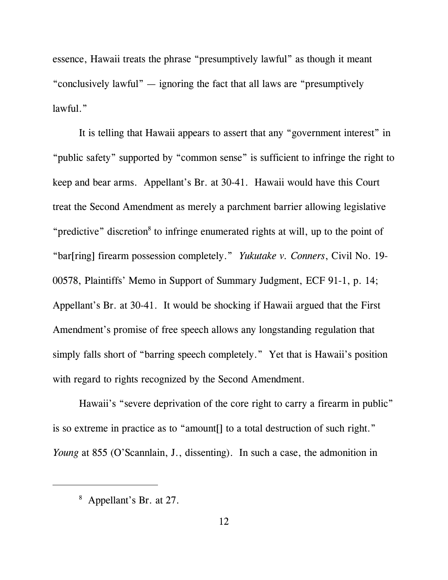essence, Hawaii treats the phrase "presumptively lawful" as though it meant "conclusively lawful" — ignoring the fact that all laws are "presumptively lawful."

It is telling that Hawaii appears to assert that any "government interest" in "public safety" supported by "common sense" is sufficient to infringe the right to keep and bear arms. Appellant's Br. at 30-41. Hawaii would have this Court treat the Second Amendment as merely a parchment barrier allowing legislative "predictive" discretion<sup>8</sup> to infringe enumerated rights at will, up to the point of "bar[ring] firearm possession completely." Yukutake v. Conners, Civil No. 19- 00578, Plaintiffs' Memo in Support of Summary Judgment, ECF 91-1, p. 14; Appellant's Br. at 30-41. It would be shocking if Hawaii argued that the First Amendment's promise of free speech allows any longstanding regulation that simply falls short of "barring speech completely." Yet that is Hawaii's position with regard to rights recognized by the Second Amendment.

Hawaii's "severe deprivation of the core right to carry a firearm in public" is so extreme in practice as to "amount[] to a total destruction of such right." Young at 855 (O'Scannlain, J., dissenting). In such a case, the admonition in

<sup>&</sup>lt;sup>8</sup> Appellant's Br. at 27.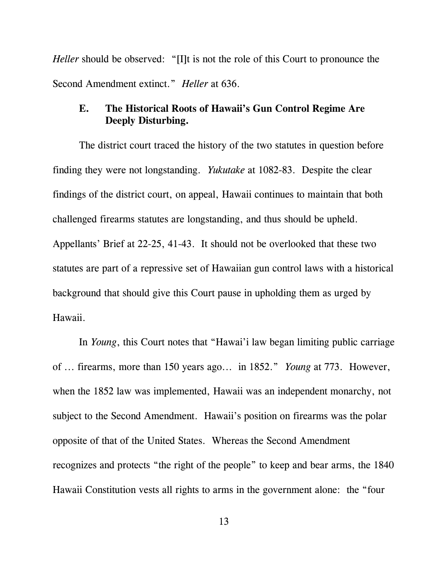Heller should be observed: "[I]t is not the role of this Court to pronounce the Second Amendment extinct." *Heller* at 636.

# E. The Historical Roots of Hawaii's Gun Control Regime Are Deeply Disturbing.

The district court traced the history of the two statutes in question before finding they were not longstanding. Yukutake at 1082-83. Despite the clear findings of the district court, on appeal, Hawaii continues to maintain that both challenged firearms statutes are longstanding, and thus should be upheld. Appellants' Brief at 22-25, 41-43. It should not be overlooked that these two statutes are part of a repressive set of Hawaiian gun control laws with a historical background that should give this Court pause in upholding them as urged by Hawaii.

In Young, this Court notes that "Hawai'i law began limiting public carriage of ... firearms, more than 150 years ago... in 1852." Young at 773. However, when the 1852 law was implemented, Hawaii was an independent monarchy, not subject to the Second Amendment. Hawaii's position on firearms was the polar opposite of that of the United States. Whereas the Second Amendment recognizes and protects "the right of the people" to keep and bear arms, the 1840 Hawaii Constitution vests all rights to arms in the government alone: the "four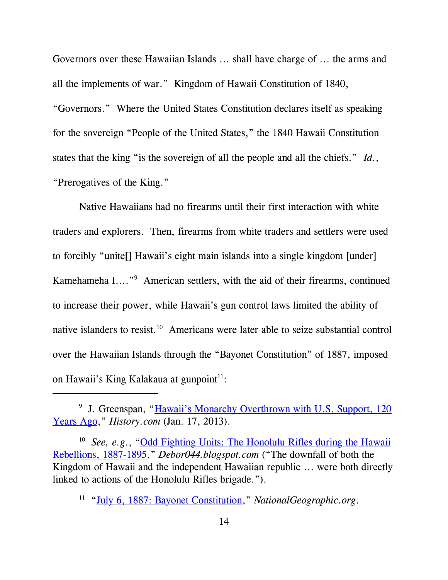Governors over these Hawaiian Islands ... shall have charge of ... the arms and all the implements of war." Kingdom of Hawaii Constitution of 1840, "Governors." Where the United States Constitution declares itself as speaking for the sovereign "People of the United States," the 1840 Hawaii Constitution states that the king "is the sovereign of all the people and all the chiefs." Id., "Prerogatives of the King."

Native Hawaiians had no firearms until their first interaction with white traders and explorers. Then, firearms from white traders and settlers were used to forcibly "unite[] Hawaii's eight main islands into a single kingdom [under] Kamehameha I...."<sup>9</sup> American settlers, with the aid of their firearms, continued to increase their power, while Hawaii's gun control laws limited the ability of native islanders to resist.<sup>10</sup> Americans were later able to seize substantial control over the Hawaiian Islands through the "Bayonet Constitution" of 1887, imposed on Hawaii's King Kalakaua at gunpoint $11$ :

<sup>&</sup>lt;sup>9</sup> J. Greenspan, "Hawaii's Monarchy Overthrown with U.S. Support, 120 Years Ago," History.com (Jan. 17, 2013).

<sup>&</sup>lt;sup>10</sup> See, e.g., "Odd Fighting Units: The Honolulu Rifles during the Hawaii Rebellions, 1887-1895," Debor044.blogspot.com ("The downfall of both the Kingdom of Hawaii and the independent Hawaiian republic ... were both directly linked to actions of the Honolulu Rifles brigade.").

<sup>&</sup>lt;sup>11</sup> "July 6, 1887: Bayonet Constitution," NationalGeographic.org.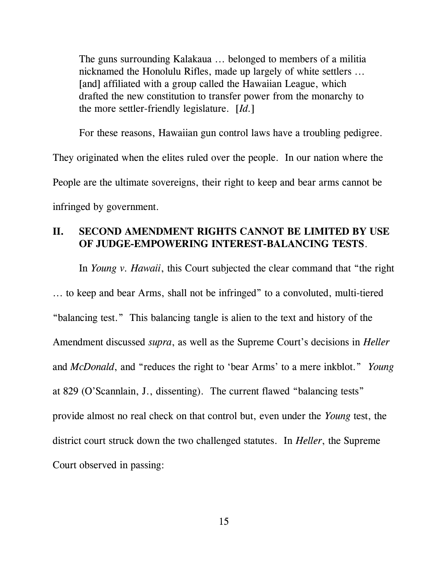The guns surrounding Kalakaua ... belonged to members of a militia nicknamed the Honolulu Rifles, made up largely of white settlers ... [and] affiliated with a group called the Hawaiian League, which drafted the new constitution to transfer power from the monarchy to the more settler-friendly legislature.  $[d.1]$ 

For these reasons, Hawaiian gun control laws have a troubling pedigree.

They originated when the elites ruled over the people. In our nation where the People are the ultimate sovereigns, their right to keep and bear arms cannot be infringed by government.

### II. SECOND AMENDMENT RIGHTS CANNOT BE LIMITED BY USE OF JUDGE-EMPOWERING INTEREST-BALANCING TESTS.

In *Young v. Hawaii*, this Court subjected the clear command that "the right ... to keep and bear Arms, shall not be infringed" to a convoluted, multi-tiered "balancing test." This balancing tangle is alien to the text and history of the Amendment discussed supra, as well as the Supreme Court's decisions in Heller and McDonald, and "reduces the right to 'bear Arms' to a mere inkblot." Young at 829 (O'Scannlain, J., dissenting). The current flawed "balancing tests" provide almost no real check on that control but, even under the Young test, the district court struck down the two challenged statutes. In Heller, the Supreme Court observed in passing: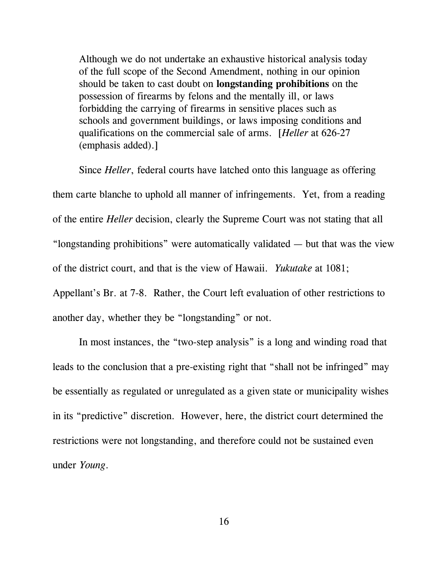Although we do not undertake an exhaustive historical analysis today of the full scope of the Second Amendment, nothing in our opinion should be taken to cast doubt on longstanding prohibitions on the possession of firearms by felons and the mentally ill, or laws forbidding the carrying of firearms in sensitive places such as schools and government buildings, or laws imposing conditions and qualifications on the commercial sale of arms. [Heller at 626-27 (emphasis added).]

Since *Heller*, federal courts have latched onto this language as offering them carte blanche to uphold all manner of infringements. Yet, from a reading of the entire Heller decision, clearly the Supreme Court was not stating that all "longstanding prohibitions" were automatically validated — but that was the view of the district court, and that is the view of Hawaii. Yukutake at 1081; Appellant's Br. at 7-8. Rather, the Court left evaluation of other restrictions to another day, whether they be "longstanding" or not.

In most instances, the "two-step analysis" is a long and winding road that leads to the conclusion that a pre-existing right that "shall not be infringed" may be essentially as regulated or unregulated as a given state or municipality wishes in its "predictive" discretion. However, here, the district court determined the restrictions were not longstanding, and therefore could not be sustained even under Young.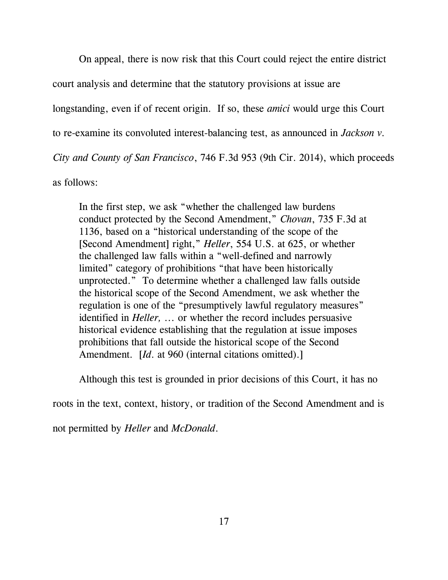On appeal, there is now risk that this Court could reject the entire district

court analysis and determine that the statutory provisions at issue are

longstanding, even if of recent origin. If so, these *amici* would urge this Court

to re-examine its convoluted interest-balancing test, as announced in Jackson v.

City and County of San Francisco, 746 F.3d 953 (9th Cir. 2014), which proceeds

as follows:

In the first step, we ask "whether the challenged law burdens conduct protected by the Second Amendment," Chovan, 735 F.3d at 1136, based on a "historical understanding of the scope of the [Second Amendment] right," *Heller*, 554 U.S. at 625, or whether the challenged law falls within a "well-defined and narrowly limited" category of prohibitions "that have been historically unprotected." To determine whether a challenged law falls outside the historical scope of the Second Amendment, we ask whether the regulation is one of the "presumptively lawful regulatory measures" identified in Heller, ... or whether the record includes persuasive historical evidence establishing that the regulation at issue imposes prohibitions that fall outside the historical scope of the Second Amendment. *[Id. at 960 (internal citations omitted).]* 

Although this test is grounded in prior decisions of this Court, it has no

roots in the text, context, history, or tradition of the Second Amendment and is

not permitted by Heller and McDonald.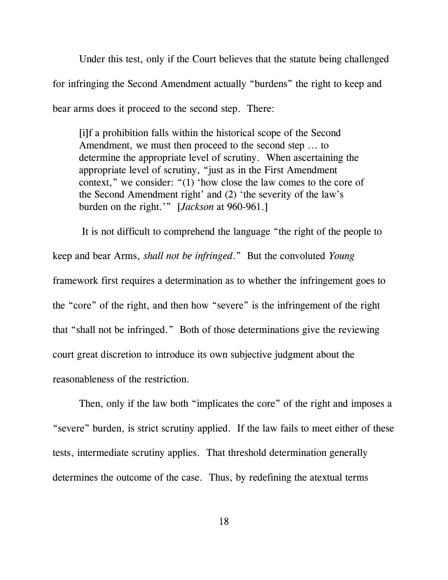Under this test, only if the Court believes that the statute being challenged for infringing the Second Amendment actually "burdens" the right to keep and bear arms does it proceed to the second step. There:

[i]f a prohibition falls within the historical scope of the Second Amendment, we must then proceed to the second step ... to determine the appropriate level of scrutiny. When ascertaining the appropriate level of scrutiny, "just as in the First Amendment context," we consider: "(1) 'how close the law comes to the core of the Second Amendment right' and (2) 'the severity of the law's burden on the right.'" [*Jackson* at 960-961.]

 It is not difficult to comprehend the language "the right of the people to keep and bear Arms, shall not be infringed." But the convoluted Young framework first requires a determination as to whether the infringement goes to the "core" of the right, and then how "severe" is the infringement of the right that "shall not be infringed." Both of those determinations give the reviewing court great discretion to introduce its own subjective judgment about the reasonableness of the restriction.

Then, only if the law both "implicates the core" of the right and imposes a "severe" burden, is strict scrutiny applied. If the law fails to meet either of these tests, intermediate scrutiny applies. That threshold determination generally determines the outcome of the case. Thus, by redefining the atextual terms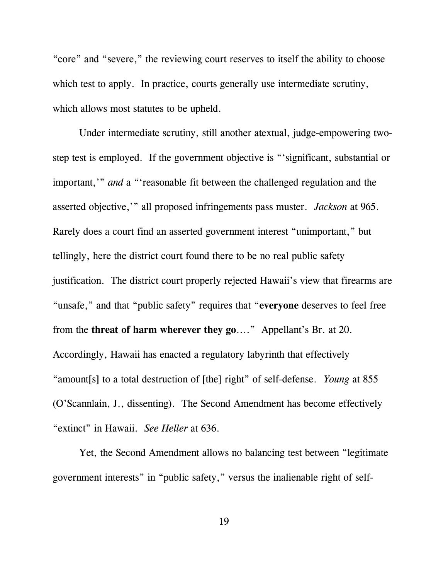"core" and "severe," the reviewing court reserves to itself the ability to choose which test to apply. In practice, courts generally use intermediate scrutiny, which allows most statutes to be upheld.

Under intermediate scrutiny, still another atextual, judge-empowering twostep test is employed. If the government objective is "'significant, substantial or important,'" and a "'reasonable fit between the challenged regulation and the asserted objective,'" all proposed infringements pass muster. Jackson at 965. Rarely does a court find an asserted government interest "unimportant," but tellingly, here the district court found there to be no real public safety justification. The district court properly rejected Hawaii's view that firearms are "unsafe," and that "public safety" requires that "everyone deserves to feel free from the threat of harm wherever they go...." Appellant's Br. at 20. Accordingly, Hawaii has enacted a regulatory labyrinth that effectively "amount[s] to a total destruction of [the] right" of self-defense. Young at 855 (O'Scannlain, J., dissenting). The Second Amendment has become effectively "extinct" in Hawaii. See Heller at 636.

Yet, the Second Amendment allows no balancing test between "legitimate government interests" in "public safety," versus the inalienable right of self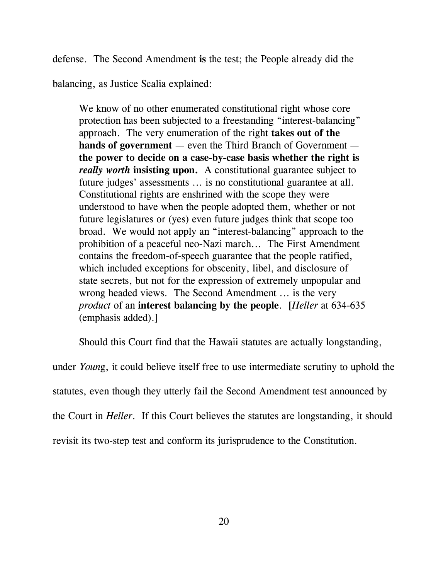defense. The Second Amendment is the test; the People already did the

balancing, as Justice Scalia explained:

We know of no other enumerated constitutional right whose core protection has been subjected to a freestanding "interest-balancing" approach. The very enumeration of the right takes out of the hands of government — even the Third Branch of Government the power to decide on a case-by-case basis whether the right is really worth insisting upon. A constitutional guarantee subject to future judges' assessments ... is no constitutional guarantee at all. Constitutional rights are enshrined with the scope they were understood to have when the people adopted them, whether or not future legislatures or (yes) even future judges think that scope too broad. We would not apply an "interest-balancing" approach to the prohibition of a peaceful neo-Nazi march... The First Amendment contains the freedom-of-speech guarantee that the people ratified, which included exceptions for obscenity, libel, and disclosure of state secrets, but not for the expression of extremely unpopular and wrong headed views. The Second Amendment ... is the very product of an interest balancing by the people. [Heller at 634-635] (emphasis added).]

Should this Court find that the Hawaii statutes are actually longstanding,

under Young, it could believe itself free to use intermediate scrutiny to uphold the statutes, even though they utterly fail the Second Amendment test announced by the Court in Heller. If this Court believes the statutes are longstanding, it should revisit its two-step test and conform its jurisprudence to the Constitution.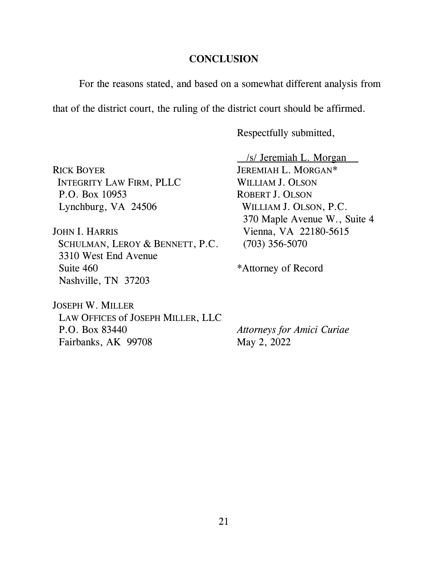### **CONCLUSION**

For the reasons stated, and based on a somewhat different analysis from

that of the district court, the ruling of the district court should be affirmed.

Respectfully submitted,

RICK BOYER JEREMIAH L. MORGAN\* INTEGRITY LAW FIRM, PLLC WILLIAM J. OLSON P.O. Box 10953 ROBERT J. OLSON Lynchburg, VA 24506 WILLIAM J. OLSON, P.C.

JOHN I. HARRIS Vienna, VA 22180-5615 SCHULMAN, LEROY & BENNETT, P.C. (703) 356-5070 3310 West End Avenue Suite 460 \*Attorney of Record Nashville, TN 37203

 /s/ Jeremiah L. Morgan 370 Maple Avenue W., Suite 4

JOSEPH W. MILLER LAW OFFICES of JOSEPH MILLER, LLC P.O. Box 83440 Attorneys for Amici Curiae Fairbanks, AK 99708 May 2, 2022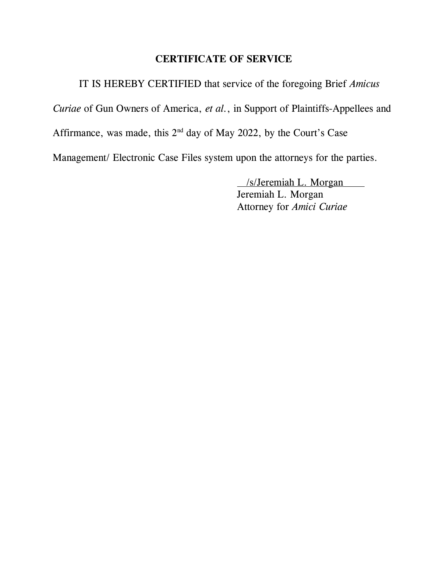# CERTIFICATE OF SERVICE

IT IS HEREBY CERTIFIED that service of the foregoing Brief Amicus

Curiae of Gun Owners of America, et al., in Support of Plaintiffs-Appellees and

Affirmance, was made, this  $2<sup>nd</sup>$  day of May 2022, by the Court's Case

Management/ Electronic Case Files system upon the attorneys for the parties.

 /s/Jeremiah L. Morgan Jeremiah L. Morgan Attorney for Amici Curiae